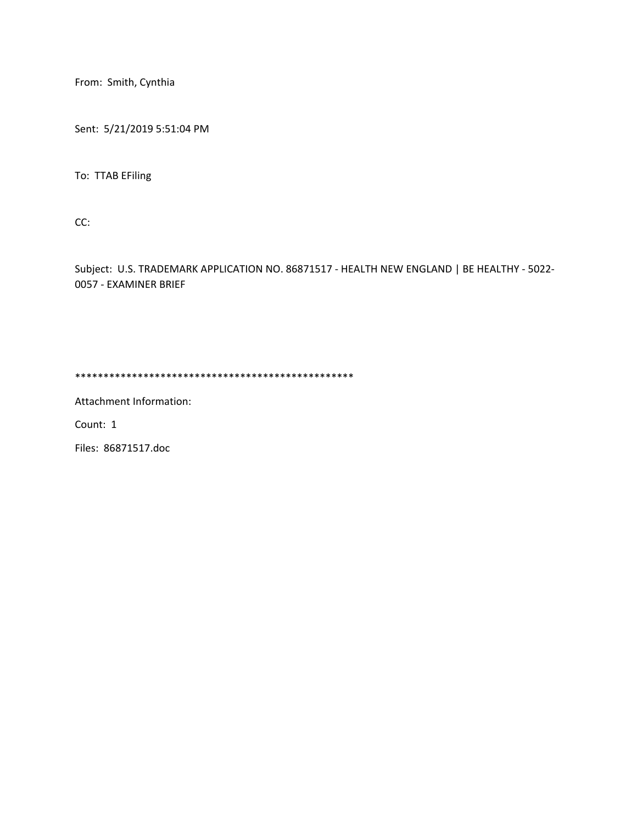From: Smith, Cynthia

Sent: 5/21/2019 5:51:04 PM

To: TTAB EFiling

CC:

Subject: U.S. TRADEMARK APPLICATION NO. 86871517 - HEALTH NEW ENGLAND | BE HEALTHY - 5022- 0057 - EXAMINER BRIEF

\*\*\*\*\*\*\*\*\*\*\*\*\*\*\*\*\*\*\*\*\*\*\*\*\*\*\*\*\*\*\*\*\*\*\*\*\*\*\*\*\*\*\*\*\*\*\*\*\*

Attachment Information:

Count: 1

Files: 86871517.doc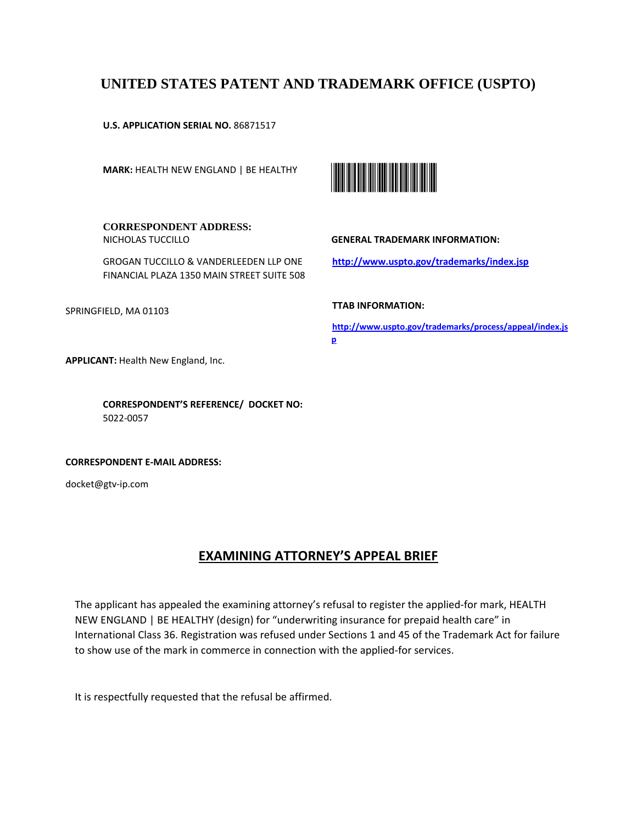# **UNITED STATES PATENT AND TRADEMARK OFFICE (USPTO)**

**U.S. APPLICATION SERIAL NO.** 86871517

**MARK:** HEALTH NEW ENGLAND | BE HEALTHY



**CORRESPONDENT ADDRESS:**

GROGAN TUCCILLO & VANDERLEEDEN LLP ONE FINANCIAL PLAZA 1350 MAIN STREET SUITE 508

SPRINGFIELD, MA 01103

**GENERAL TRADEMARK INFORMATION:** 

**http://www.uspto.gov/trademarks/index.jsp** 

**TTAB INFORMATION:** 

**http://www.uspto.gov/trademarks/process/appeal/index.js p** 

**APPLICANT:** Health New England, Inc.

NICHOLAS TUCCILLO

**CORRESPONDENT'S REFERENCE/ DOCKET NO:** 5022-0057

**CORRESPONDENT E-MAIL ADDRESS:**

docket@gtv-ip.com

# **EXAMINING ATTORNEY'S APPEAL BRIEF**

The applicant has appealed the examining attorney's refusal to register the applied-for mark, HEALTH NEW ENGLAND | BE HEALTHY (design) for "underwriting insurance for prepaid health care" in International Class 36. Registration was refused under Sections 1 and 45 of the Trademark Act for failure to show use of the mark in commerce in connection with the applied-for services.

It is respectfully requested that the refusal be affirmed.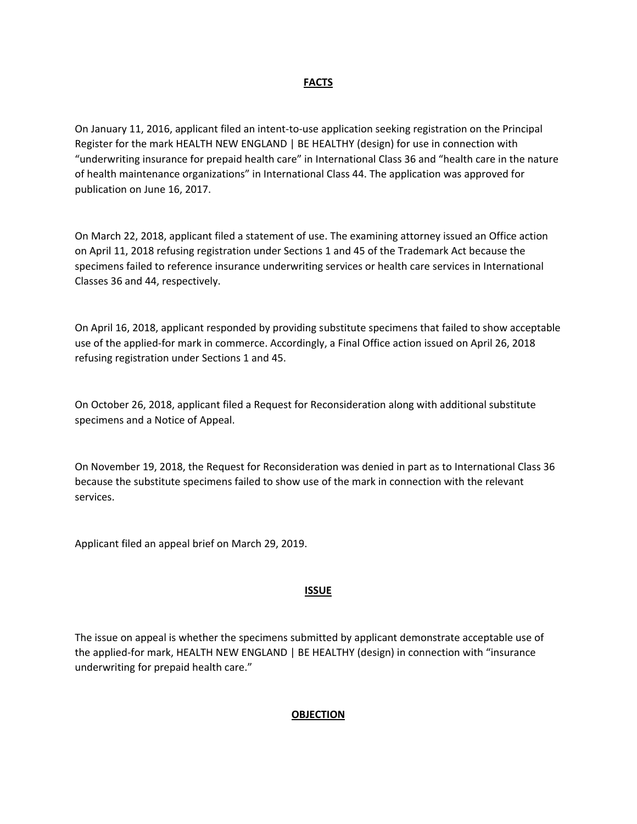#### **FACTS**

On January 11, 2016, applicant filed an intent-to-use application seeking registration on the Principal Register for the mark HEALTH NEW ENGLAND | BE HEALTHY (design) for use in connection with "underwriting insurance for prepaid health care" in International Class 36 and "health care in the nature of health maintenance organizations" in International Class 44. The application was approved for publication on June 16, 2017.

On March 22, 2018, applicant filed a statement of use. The examining attorney issued an Office action on April 11, 2018 refusing registration under Sections 1 and 45 of the Trademark Act because the specimens failed to reference insurance underwriting services or health care services in International Classes 36 and 44, respectively.

On April 16, 2018, applicant responded by providing substitute specimens that failed to show acceptable use of the applied-for mark in commerce. Accordingly, a Final Office action issued on April 26, 2018 refusing registration under Sections 1 and 45.

On October 26, 2018, applicant filed a Request for Reconsideration along with additional substitute specimens and a Notice of Appeal.

On November 19, 2018, the Request for Reconsideration was denied in part as to International Class 36 because the substitute specimens failed to show use of the mark in connection with the relevant services.

Applicant filed an appeal brief on March 29, 2019.

#### **ISSUE**

The issue on appeal is whether the specimens submitted by applicant demonstrate acceptable use of the applied-for mark, HEALTH NEW ENGLAND | BE HEALTHY (design) in connection with "insurance underwriting for prepaid health care."

#### **OBJECTION**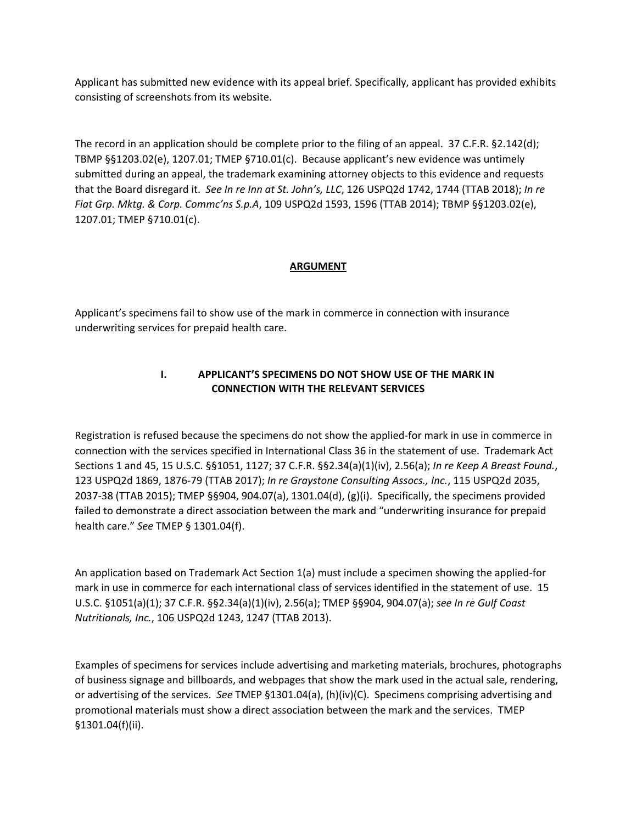Applicant has submitted new evidence with its appeal brief. Specifically, applicant has provided exhibits consisting of screenshots from its website.

The record in an application should be complete prior to the filing of an appeal. 37 C.F.R. §2.142(d); TBMP §§1203.02(e), 1207.01; TMEP §710.01(c). Because applicant's new evidence was untimely submitted during an appeal, the trademark examining attorney objects to this evidence and requests that the Board disregard it. *See In re Inn at St. John's, LLC*, 126 USPQ2d 1742, 1744 (TTAB 2018); *In re Fiat Grp. Mktg. & Corp. Commc'ns S.p.A*, 109 USPQ2d 1593, 1596 (TTAB 2014); TBMP §§1203.02(e), 1207.01; TMEP §710.01(c).

#### **ARGUMENT**

Applicant's specimens fail to show use of the mark in commerce in connection with insurance underwriting services for prepaid health care.

## **I. APPLICANT'S SPECIMENS DO NOT SHOW USE OF THE MARK IN CONNECTION WITH THE RELEVANT SERVICES**

Registration is refused because the specimens do not show the applied-for mark in use in commerce in connection with the services specified in International Class 36 in the statement of use. Trademark Act Sections 1 and 45, 15 U.S.C. §§1051, 1127; 37 C.F.R. §§2.34(a)(1)(iv), 2.56(a); *In re Keep A Breast Found.*, 123 USPQ2d 1869, 1876-79 (TTAB 2017); *In re Graystone Consulting Assocs., Inc.*, 115 USPQ2d 2035, 2037-38 (TTAB 2015); TMEP §§904, 904.07(a), 1301.04(d), (g)(i). Specifically, the specimens provided failed to demonstrate a direct association between the mark and "underwriting insurance for prepaid health care." *See* TMEP § 1301.04(f).

An application based on Trademark Act Section 1(a) must include a specimen showing the applied-for mark in use in commerce for each international class of services identified in the statement of use. 15 U.S.C. §1051(a)(1); 37 C.F.R. §§2.34(a)(1)(iv), 2.56(a); TMEP §§904, 904.07(a); *see In re Gulf Coast Nutritionals, Inc.*, 106 USPQ2d 1243, 1247 (TTAB 2013).

Examples of specimens for services include advertising and marketing materials, brochures, photographs of business signage and billboards, and webpages that show the mark used in the actual sale, rendering, or advertising of the services. *See* TMEP §1301.04(a), (h)(iv)(C). Specimens comprising advertising and promotional materials must show a direct association between the mark and the services. TMEP §1301.04(f)(ii).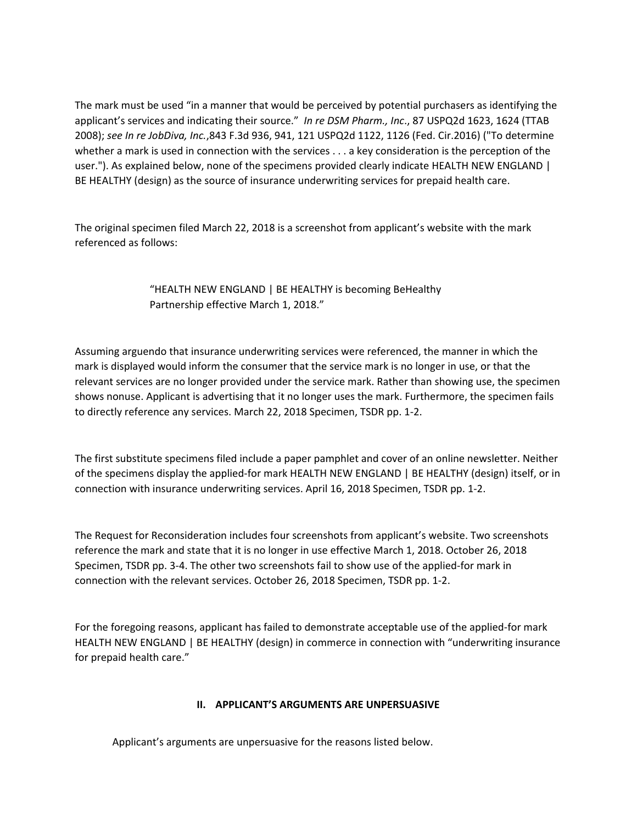The mark must be used "in a manner that would be perceived by potential purchasers as identifying the applicant's services and indicating their source." *In re DSM Pharm., Inc*., 87 USPQ2d 1623, 1624 (TTAB 2008); *see In re JobDiva, Inc.*,843 F.3d 936, 941, 121 USPQ2d 1122, 1126 (Fed. Cir.2016) ("To determine whether a mark is used in connection with the services . . . a key consideration is the perception of the user."). As explained below, none of the specimens provided clearly indicate HEALTH NEW ENGLAND | BE HEALTHY (design) as the source of insurance underwriting services for prepaid health care.

The original specimen filed March 22, 2018 is a screenshot from applicant's website with the mark referenced as follows:

> "HEALTH NEW ENGLAND | BE HEALTHY is becoming BeHealthy Partnership effective March 1, 2018."

Assuming arguendo that insurance underwriting services were referenced, the manner in which the mark is displayed would inform the consumer that the service mark is no longer in use, or that the relevant services are no longer provided under the service mark. Rather than showing use, the specimen shows nonuse. Applicant is advertising that it no longer uses the mark. Furthermore, the specimen fails to directly reference any services. March 22, 2018 Specimen, TSDR pp. 1-2.

The first substitute specimens filed include a paper pamphlet and cover of an online newsletter. Neither of the specimens display the applied-for mark HEALTH NEW ENGLAND | BE HEALTHY (design) itself, or in connection with insurance underwriting services. April 16, 2018 Specimen, TSDR pp. 1-2.

The Request for Reconsideration includes four screenshots from applicant's website. Two screenshots reference the mark and state that it is no longer in use effective March 1, 2018. October 26, 2018 Specimen, TSDR pp. 3-4. The other two screenshots fail to show use of the applied-for mark in connection with the relevant services. October 26, 2018 Specimen, TSDR pp. 1-2.

For the foregoing reasons, applicant has failed to demonstrate acceptable use of the applied-for mark HEALTH NEW ENGLAND | BE HEALTHY (design) in commerce in connection with "underwriting insurance for prepaid health care."

### **II. APPLICANT'S ARGUMENTS ARE UNPERSUASIVE**

Applicant's arguments are unpersuasive for the reasons listed below.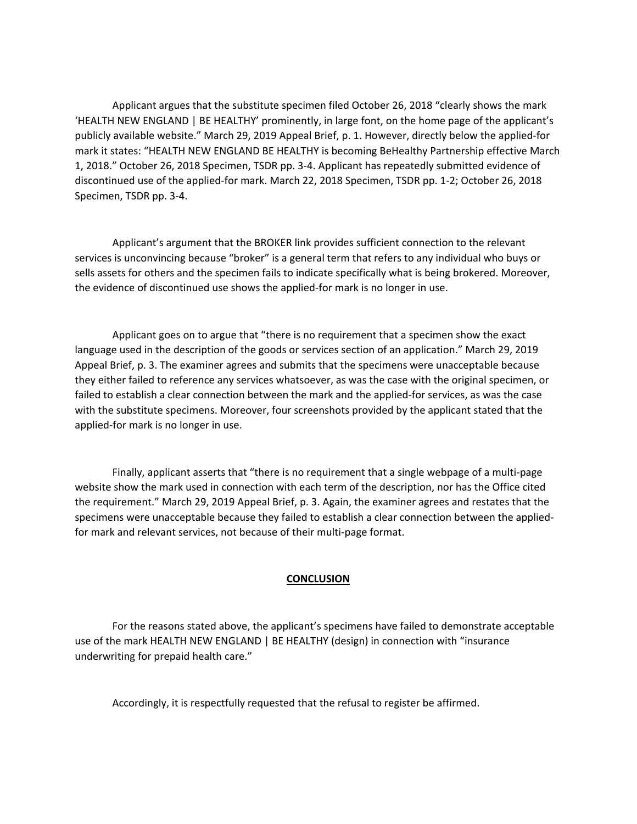Applicant argues that the substitute specimen filed October 26, 2018 "clearly shows the mark 'HEALTH NEW ENGLAND | BE HEALTHY' prominently, in large font, on the home page of the applicant's publicly available website." March 29, 2019 Appeal Brief, p. 1. However, directly below the applied-for mark it states: "HEALTH NEW ENGLAND BE HEALTHY is becoming BeHealthy Partnership effective March 1, 2018." October 26, 2018 Specimen, TSDR pp. 3-4. Applicant has repeatedly submitted evidence of discontinued use of the applied-for mark. March 22, 2018 Specimen, TSDR pp. 1-2; October 26, 2018 Specimen, TSDR pp. 3-4.

 Applicant's argument that the BROKER link provides sufficient connection to the relevant services is unconvincing because "broker" is a general term that refers to any individual who buys or sells assets for others and the specimen fails to indicate specifically what is being brokered. Moreover, the evidence of discontinued use shows the applied-for mark is no longer in use.

 Applicant goes on to argue that "there is no requirement that a specimen show the exact language used in the description of the goods or services section of an application." March 29, 2019 Appeal Brief, p. 3. The examiner agrees and submits that the specimens were unacceptable because they either failed to reference any services whatsoever, as was the case with the original specimen, or failed to establish a clear connection between the mark and the applied-for services, as was the case with the substitute specimens. Moreover, four screenshots provided by the applicant stated that the applied-for mark is no longer in use.

 Finally, applicant asserts that "there is no requirement that a single webpage of a multi-page website show the mark used in connection with each term of the description, nor has the Office cited the requirement." March 29, 2019 Appeal Brief, p. 3. Again, the examiner agrees and restates that the specimens were unacceptable because they failed to establish a clear connection between the appliedfor mark and relevant services, not because of their multi-page format.

#### **CONCLUSION**

 For the reasons stated above, the applicant's specimens have failed to demonstrate acceptable use of the mark HEALTH NEW ENGLAND | BE HEALTHY (design) in connection with "insurance underwriting for prepaid health care."

Accordingly, it is respectfully requested that the refusal to register be affirmed.